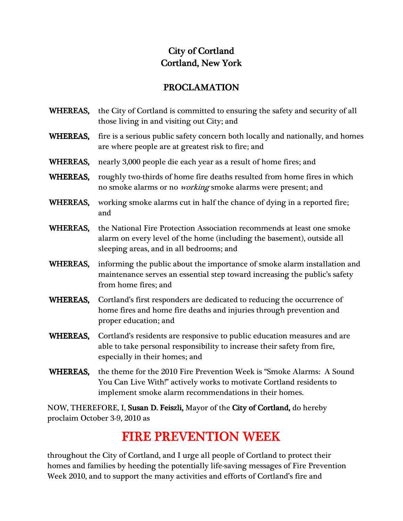## City of Cortland Cortland, New York York

## PROCLAMATION PROCLAMATION

- WHEREAS, the City of Cortland is committed to ensuring the safety and security of all those living in and visiting out City; and
- WHEREAS, fire is a serious public safety concern both locally and nationally, and homes are where people are at greatest risk to fire; and
- WHEREAS, nearly 3,000 people die each year as a result of home fires; and
- WHEREAS, roughly two-thirds of home fire deaths resulted from home fires in which no smoke alarms or no *working* smoke alarms were present; and
- WHEREAS, working smoke alarms cut in half the chance of dying in a reported fire; and
- WHEREAS, the National Fire Protection Association recommends at least one smoke alarm on every level of the home (including the basement), outside all sleeping areas, and in all bedrooms; and
- WHEREAS, informing the public about the importance of smoke alarm installation and maintenance serves an essential step toward increasing the public's safety from home fires; and
- WHEREAS, Cortland's first responders are dedicated to reducing the occurrence of home fires and home fire deaths and injuries through prevention and proper education; and
- WHEREAS, Cortland's residents are responsive to public education measures and are able to take personal responsibility to increase their safety from fire, especially in their homes; and
- WHEREAS, the theme for the 2010 Fire Prevention Week is "Smoke Alarms: A Sound You Can Live With!" actively works to motivate Cortland residents to implement smoke alarm recommendations in their homes.

NOW, THEREFORE, I, Susan D. Feiszli, Mayor of the City of Cortland, do hereby proclaim October 3-9, 2010 as

## l, FIRE PREVENTION WEEK

 throughout the City of Cortland, and I urge all people of Cortland to protect their homes and families by heeding the potentially life-saving messages of Fire Prevention Week 2010, and to support the many activities and efforts of Cortland's fire and